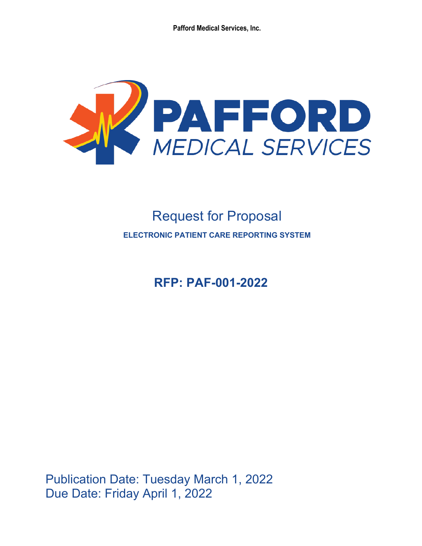**Pafford Medical Services, Inc.**



# Request for Proposal **ELECTRONIC PATIENT CARE REPORTING SYSTEM**

**RFP: PAF-001-2022**

Publication Date: Tuesday March 1, 2022 Due Date: Friday April 1, 2022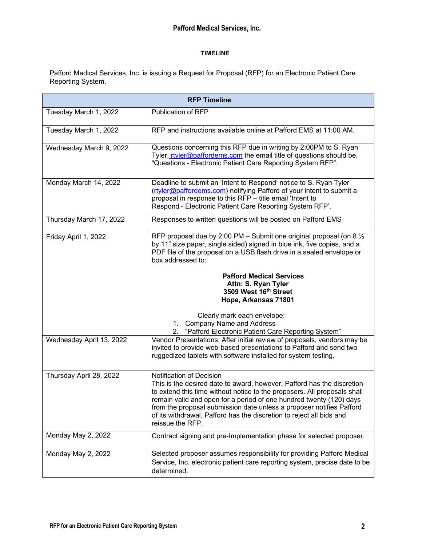# **TIMELINE**

Pafford Medical Services, Inc. is issuing a Request for Proposal (RFP) for an Electronic Patient Care Reporting System.

| <b>RFP Timeline</b>      |                                                                                                                                                                                                                                                                                                                                                                                                                           |  |  |
|--------------------------|---------------------------------------------------------------------------------------------------------------------------------------------------------------------------------------------------------------------------------------------------------------------------------------------------------------------------------------------------------------------------------------------------------------------------|--|--|
| Tuesday March 1, 2022    | <b>Publication of RFP</b>                                                                                                                                                                                                                                                                                                                                                                                                 |  |  |
| Tuesday March 1, 2022    | RFP and instructions available online at Pafford EMS at 11:00 AM.                                                                                                                                                                                                                                                                                                                                                         |  |  |
| Wednesday March 9, 2022  | Questions concerning this RFP due in writing by 2:00PM to S. Ryan<br>Tyler, rtyler@paffordems.com the email title of questions should be,<br>"Questions - Electronic Patient Care Reporting System RFP".                                                                                                                                                                                                                  |  |  |
| Monday March 14, 2022    | Deadline to submit an 'Intent to Respond' notice to S. Ryan Tyler<br>(rtyler@paffordems.com) notifying Pafford of your intent to submit a<br>proposal in response to this RFP - title email 'Intent to<br>Respond - Electronic Patient Care Reporting System RFP'.                                                                                                                                                        |  |  |
| Thursday March 17, 2022  | Responses to written questions will be posted on Pafford EMS                                                                                                                                                                                                                                                                                                                                                              |  |  |
| Friday April 1, 2022     | RFP proposal due by 2:00 PM – Submit one original proposal (on 8 $\frac{1}{2}$ )<br>by 11" size paper, single sided) signed in blue ink, five copies, and a<br>PDF file of the proposal on a USB flash drive in a sealed envelope or<br>box addressed to:                                                                                                                                                                 |  |  |
|                          | <b>Pafford Medical Services</b><br>Attn: S. Ryan Tyler<br>3509 West 16th Street<br>Hope, Arkansas 71801                                                                                                                                                                                                                                                                                                                   |  |  |
|                          | Clearly mark each envelope:<br><b>Company Name and Address</b><br>1.<br>"Pafford Electronic Patient Care Reporting System"<br>2.                                                                                                                                                                                                                                                                                          |  |  |
| Wednesday April 13, 2022 | Vendor Presentations: After initial review of proposals, vendors may be<br>invited to provide web-based presentations to Pafford and send two<br>ruggedized tablets with software installed for system testing.                                                                                                                                                                                                           |  |  |
| Thursday April 28, 2022  | Notification of Decision<br>This is the desired date to award, however, Pafford has the discretion<br>to extend this time without notice to the proposers. All proposals shall<br>remain valid and open for a period of one hundred twenty (120) days<br>from the proposal submission date unless a proposer notifies Pafford<br>of its withdrawal. Pafford has the discretion to reject all bids and<br>reissue the RFP. |  |  |
| Monday May 2, 2022       | Contract signing and pre-Implementation phase for selected proposer.                                                                                                                                                                                                                                                                                                                                                      |  |  |
| Monday May 2, 2022       | Selected proposer assumes responsibility for providing Pafford Medical<br>Service, Inc. electronic patient care reporting system, precise date to be<br>determined.                                                                                                                                                                                                                                                       |  |  |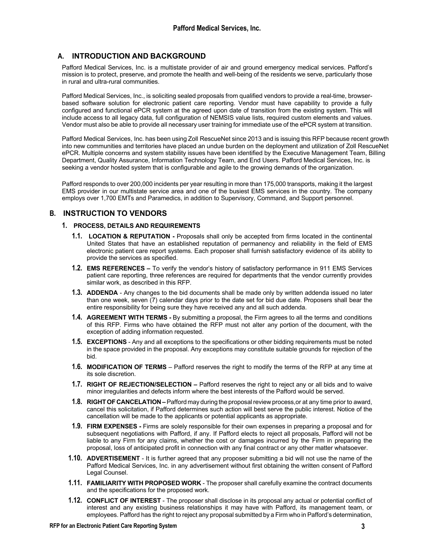# **A. INTRODUCTION AND BACKGROUND**

Pafford Medical Services, Inc. is a multistate provider of air and ground emergency medical services. Pafford's mission is to protect, preserve, and promote the health and well-being of the residents we serve, particularly those in rural and ultra-rural communities.

Pafford Medical Services, Inc., is soliciting sealed proposals from qualified vendors to provide a real-time, browserbased software solution for electronic patient care reporting. Vendor must have capability to provide a fully configured and functional ePCR system at the agreed upon date of transition from the existing system. This will include access to all legacy data, full configuration of NEMSIS value lists, required custom elements and values. Vendor must also be able to provide all necessary user training for immediate use of the ePCR system at transition.

Pafford Medical Services, Inc. has been using Zoll RescueNet since 2013 and is issuing this RFP because recent growth into new communities and territories have placed an undue burden on the deployment and utilization of Zoll RescueNet ePCR. Multiple concerns and system stability issues have been identified by the Executive Management Team, Billing Department, Quality Assurance, Information Technology Team, and End Users. Pafford Medical Services, Inc. is seeking a vendor hosted system that is configurable and agile to the growing demands of the organization.

Pafford responds to over 200,000 incidents per year resulting in more than 175,000 transports, making it the largest EMS provider in our multistate service area and one of the busiest EMS services in the country. The company employs over 1,700 EMTs and Paramedics, in addition to Supervisory, Command, and Support personnel.

# **B. INSTRUCTION TO VENDORS**

## **1. PROCESS, DETAILS AND REQUIREMENTS**

- **1.1. LOCATION & REPUTATION -** Proposals shall only be accepted from firms located in the continental United States that have an established reputation of permanency and reliability in the field of EMS electronic patient care report systems. Each proposer shall furnish satisfactory evidence of its ability to provide the services as specified.
- **1.2. EMS REFERENCES –** To verify the vendor's history of satisfactory performance in 911 EMS Services patient care reporting, three references are required for departments that the vendor currently provides similar work, as described in this RFP.
- **1.3. ADDENDA** Any changes to the bid documents shall be made only by written addenda issued no later than one week, seven (7) calendar days prior to the date set for bid due date. Proposers shall bear the entire responsibility for being sure they have received any and all such addenda.
- **1.4. AGREEMENT WITH TERMS -** By submitting a proposal, the Firm agrees to all the terms and conditions of this RFP. Firms who have obtained the RFP must not alter any portion of the document, with the exception of adding information requested.
- **1.5. EXCEPTIONS**  Any and all exceptions to the specifications or other bidding requirements must be noted in the space provided in the proposal. Any exceptions may constitute suitable grounds for rejection of the bid.
- **1.6. MODIFICATION OF TERMS**  Pafford reserves the right to modify the terms of the RFP at any time at its sole discretion.
- **1.7. RIGHT OF REJECTION/SELECTION –** Pafford reserves the right to reject any or all bids and to waive minor irregularities and defects inform where the best interests of the Pafford would be served.
- **1.8. RIGHTOF CANCELATION –**Pafford may during the proposal review process,or at any time prior to award, cancel this solicitation, if Pafford determines such action will best serve the public interest. Notice of the cancellation will be made to the applicants or potential applicants as appropriate.
- **1.9. FIRM EXPENSES -** Firms are solely responsible for their own expenses in preparing a proposal and for subsequent negotiations with Pafford, if any. If Pafford elects to reject all proposals, Pafford will not be liable to any Firm for any claims, whether the cost or damages incurred by the Firm in preparing the proposal, loss of anticipated profit in connection with any final contract or any other matter whatsoever.
- **1.10. ADVERTISEMENT**  It is further agreed that any proposer submitting a bid will not use the name of the Pafford Medical Services, Inc. in any advertisement without first obtaining the written consent of Pafford Legal Counsel.
- **1.11. FAMILIARITY WITH PROPOSED WORK**  The proposer shall carefully examine the contract documents and the specifications for the proposed work.
- **1.12. CONFLICT OF INTEREST**  The proposer shall disclose in its proposal any actual or potential conflict of interest and any existing business relationships it may have with Pafford, its management team, or employees. Pafford has the right to reject any proposal submitted by a Firm who in Pafford's determination,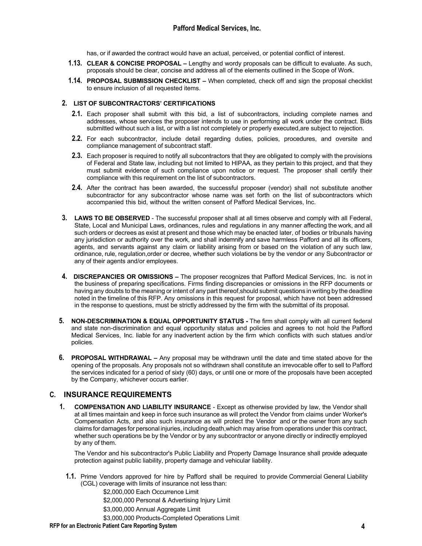has, or if awarded the contract would have an actual, perceived, or potential conflict of interest.

- **1.13. CLEAR & CONCISE PROPOSAL –** Lengthy and wordy proposals can be difficult to evaluate. As such, proposals should be clear, concise and address all of the elements outlined in the Scope of Work.
- **1.14. PROPOSAL SUBMISSION CHECKLIST –** When completed, check off and sign the proposal checklist to ensure inclusion of all requested items.

## **2. LIST OF SUBCONTRACTORS' CERTIFICATIONS**

- **2.1.** Each proposer shall submit with this bid, a list of subcontractors, including complete names and addresses, whose services the proposer intends to use in performing all work under the contract. Bids submitted without such a list, or with a list not completely or properly executed,are subject to rejection.
- **2.2.** For each subcontractor, include detail regarding duties, policies, procedures, and oversite and compliance management of subcontract staff.
- **2.3.** Each proposer is required to notify all subcontractors that they are obligated to comply with the provisions of Federal and State law, including but not limited to HIPAA, as they pertain to this project, and that they must submit evidence of such compliance upon notice or request. The proposer shall certify their compliance with this requirement on the list of subcontractors.
- **2.4.** After the contract has been awarded, the successful proposer (vendor) shall not substitute another subcontractor for any subcontractor whose name was set forth on the list of subcontractors which accompanied this bid, without the written consent of Pafford Medical Services, Inc.
- **3. LAWS TO BE OBSERVED** The successful proposer shall at all times observe and comply with all Federal, State, Local and Municipal Laws, ordinances, rules and regulations in any manner affecting the work, and all such orders or decrees as exist at present and those which may be enacted later, of bodies or tribunals having any jurisdiction or authority over the work, and shall indemnify and save harmless Pafford and all its officers, agents, and servants against any claim or liability arising from or based on the violation of any such law, ordinance, rule, regulation,order or decree, whether such violations be by the vendor or any Subcontractor or any of their agents and/or employees.
- **4. DISCREPANCIES OR OMISSIONS –** The proposer recognizes that Pafford Medical Services, Inc. is not in the business of preparing specifications. Firms finding discrepancies or omissions in the RFP documents or having any doubts to the meaning or intent of any part thereof,should submit questions in writing by the deadline noted in the timeline of this RFP. Any omissions in this request for proposal, which have not been addressed in the response to questions, must be strictly addressed by the firm with the submittal of its proposal.
- **5. NON-DESCRIMINATION & EQUAL OPPORTUNITY STATUS -** The firm shall comply with all current federal and state non-discrimination and equal opportunity status and policies and agrees to not hold the Pafford Medical Services, Inc. liable for any inadvertent action by the firm which conflicts with such statues and/or policies.
- **6. PROPOSAL WITHDRAWAL –** Any proposal may be withdrawn until the date and time stated above for the opening of the proposals. Any proposals not so withdrawn shall constitute an irrevocable offer to sell to Pafford the services indicated for a period of sixty (60) days, or until one or more of the proposals have been accepted by the Company, whichever occurs earlier.

# **C. INSURANCE REQUIREMENTS**

**1. COMPENSATION AND LIABILITY INSURANCE** - Except as otherwise provided by law, the Vendor shall at all times maintain and keep in force such insurance as will protect the Vendor from claims under Worker's Compensation Acts, and also such insurance as will protect the Vendor and or the owner from any such claims for damages for personal injuries, including death,which may arise from operations under this contract, whether such operations be by the Vendor or by any subcontractor or anyone directly or indirectly employed by any of them.

The Vendor and his subcontractor's Public Liability and Property Damage Insurance shall provide adequate protection against public liability, property damage and vehicular liability.

**1.1.** Prime Vendors approved for hire by Pafford shall be required to provide Commercial General Liability (CGL) coverage with limits of insurance not less than:

\$2,000,000 Each Occurrence Limit

\$2,000,000 Personal & Advertising Injury Limit

\$3,000,000 Annual Aggregate Limit

\$3,000,000 Products-Completed Operations Limit

#### **RFP for an Electronic Patient Care Reporting System 4**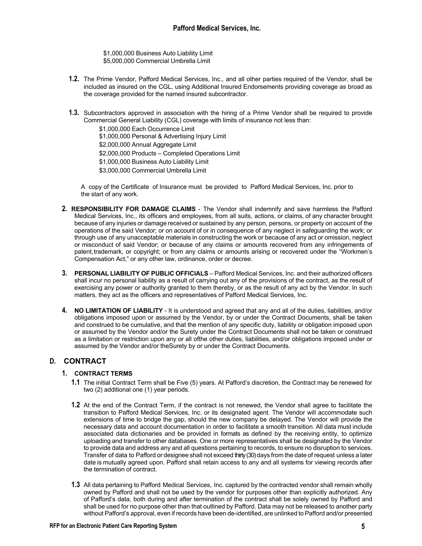\$1,000,000 Business Auto Liability Limit \$5,000,000 Commercial Umbrella Limit

- **1.2.** The Prime Vendor, Pafford Medical Services, Inc., and all other parties required of the Vendor, shall be included as insured on the CGL, using Additional Insured Endorsements providing coverage as broad as the coverage provided for the named insured subcontractor.
- **1.3.** Subcontractors approved in association with the hiring of a Prime Vendor shall be required to provide Commercial General Liability (CGL) coverage with limits of insurance not less than:

\$1,000,000 Each Occurrence Limit \$1,000,000 Personal & Advertising Injury Limit \$2,000,000 Annual Aggregate Limit \$2,000,000 Products – Completed Operations Limit \$1,000,000 Business Auto Liability Limit \$3,000,000 Commercial Umbrella Limit

A copy of the Certificate of Insurance must be provided to Pafford Medical Services, Inc. prior to the start of any work.

- **2. RESPONSIBILITY FOR DAMAGE CLAIMS**  The Vendor shall indemnify and save harmless the Pafford Medical Services, Inc., its officers and employees, from all suits, actions, or claims, of any character brought because of any injuries or damage received or sustained by any person, persons, or property on account of the operations of the said Vendor; or on account of or in consequence of any neglect in safeguarding the work; or through use of any unacceptable materials in constructing the work or because of any act or omission, neglect or misconduct of said Vendor; or because of any claims or amounts recovered from any infringements of patent,trademark, or copyright; or from any claims or amounts arising or recovered under the "Workmen's Compensation Act," or any other law, ordinance, order or decree.
- **3. PERSONAL LIABILITY OF PUBLIC OFFICIALS**  Pafford Medical Services, Inc. and their authorized officers shall incur no personal liability as a result of carrying out any of the provisions of the contract, as the result of exercising any power or authority granted to them thereby, or as the result of any act by the Vendor. In such matters, they act as the officers and representatives of Pafford Medical Services, Inc.
- **4. NO LIMITATION OF LIABILITY**  It is understood and agreed that any and all of the duties, liabilities, and/or obligations imposed upon or assumed by the Vendor, by or under the Contract Documents, shall be taken and construed to be cumulative, and that the mention of any specific duty, liability or obligation imposed upon or assumed by the Vendor and/or the Surety under the Contract Documents shall not be taken or construed as a limitation or restriction upon any or all ofthe other duties, liabilities, and/or obligations imposed under or assumed by the Vendor and/or theSurety by or under the Contract Documents.

# **D. CONTRACT**

## **1. CONTRACT TERMS**

- **1.1** The initial Contract Term shall be Five (5) years. At Pafford's discretion, the Contract may be renewed for two (2) additional one (1) year periods.
- **1.2** At the end of the Contract Term, if the contract is not renewed, the Vendor shall agree to facilitate the transition to Pafford Medical Services, Inc. or its designated agent. The Vendor will accommodate such extensions of time to bridge the gap, should the new company be delayed. The Vendor will provide the necessary data and account documentation in order to facilitate a smooth transition. All data must include associated data dictionaries and be provided in formats as defined by the receiving entity, to optimize uploading and transfer to other databases. One or more representatives shall be designated by the Vendor to provide data and address any and all questions pertaining to records, to ensure no disruption to services. Transfer of data to Pafford or designee shall not exceed thirty (30)days from the date of request unless a later date is mutually agreed upon. Pafford shall retain access to any and all systems for viewing records after the termination of contract.
- **1.3** All data pertaining to Pafford Medical Services, Inc. captured by the contracted vendor shall remain wholly owned by Pafford and shall not be used by the vendor for purposes other than explicitly authorized. Any of Pafford's data, both during and after termination of the contract shall be solely owned by Pafford and shall be used for no purpose other than that outlined by Pafford. Data may not be released to another party without Pafford's approval, even if records have been de-identified, are unlinked to Pafford and/or presented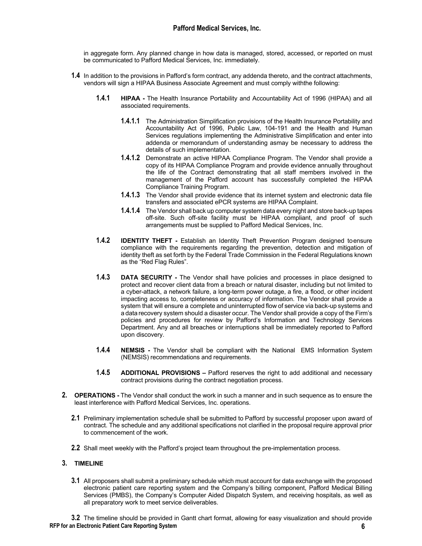# **Pafford Medical Services, Inc.**

in aggregate form. Any planned change in how data is managed, stored, accessed, or reported on must be communicated to Pafford Medical Services, Inc. immediately.

- **1.4** In addition to the provisions in Pafford's form contract, any addenda thereto, and the contract attachments, vendors will sign a HIPAA Business Associate Agreement and must comply withthe following:
	- **1.4.1 HIPAA -** The Health Insurance Portability and Accountability Act of 1996 (HIPAA) and all associated requirements.
		- **1.4.1.1** The Administration Simplification provisions of the Health Insurance Portability and Accountability Act of 1996, Public Law, 104-191 and the Health and Human Services regulations implementing the Administrative Simplification and enter into addenda or memorandum of understanding asmay be necessary to address the details of such implementation.
		- **1.4.1.2** Demonstrate an active HIPAA Compliance Program. The Vendor shall provide a copy of its HIPAA Compliance Program and provide evidence annually throughout the life of the Contract demonstrating that all staff members involved in the management of the Pafford account has successfully completed the HIPAA Compliance Training Program.
		- **1.4.1.3** The Vendor shall provide evidence that its internet system and electronic data file transfers and associated ePCR systems are HIPAA Complaint.
		- **1.4.1.4** The Vendor shall back up computer system data every night and store back-up tapes off-site. Such off-site facility must be HIPAA compliant, and proof of such arrangements must be supplied to Pafford Medical Services, Inc.
	- **1.4.2 IDENTITY THEFT -** Establish an Identity Theft Prevention Program designed toensure compliance with the requirements regarding the prevention, detection and mitigation of identity theft as set forth by the Federal Trade Commission in the Federal Regulations known as the "Red Flag Rules".
	- **1.4.3 DATA SECURITY -** The Vendor shall have policies and processes in place designed to protect and recover client data from a breach or natural disaster, including but not limited to a cyber-attack, a network failure, a long-term power outage, a fire, a flood, or other incident impacting access to, completeness or accuracy of information. The Vendor shall provide a system that will ensure a complete and uninterrupted flow of service via back-up systems and a data recovery system should a disaster occur. The Vendor shall provide a copy of the Firm's policies and procedures for review by Pafford's Information and Technology Services Department. Any and all breaches or interruptions shall be immediately reported to Pafford upon discovery.
	- **1.4.4 NEMSIS -** The Vendor shall be compliant with the National EMS Information System (NEMSIS) recommendations and requirements.
	- **1.4.5 ADDITIONAL PROVISIONS –** Pafford reserves the right to add additional and necessary contract provisions during the contract negotiation process.
- **2. OPERATIONS -** The Vendor shall conduct the work in such a manner and in such sequence as to ensure the least interference with Pafford Medical Services, Inc. operations.
	- **2.1** Preliminary implementation schedule shall be submitted to Pafford by successful proposer upon award of contract. The schedule and any additional specifications not clarified in the proposal require approval prior to commencement of the work.
	- **2.2** Shall meet weekly with the Pafford's project team throughout the pre-implementation process.

## **3. TIMELINE**

**3.1** All proposers shall submit a preliminary schedule which must account for data exchange with the proposed electronic patient care reporting system and the Company's billing component, Pafford Medical Billing Services (PMBS), the Company's Computer Aided Dispatch System, and receiving hospitals, as well as all preparatory work to meet service deliverables.

**RFP for an Electronic Patient Care Reporting System 6 3.2** The timeline should be provided in Gantt chart format, allowing for easy visualization and should provide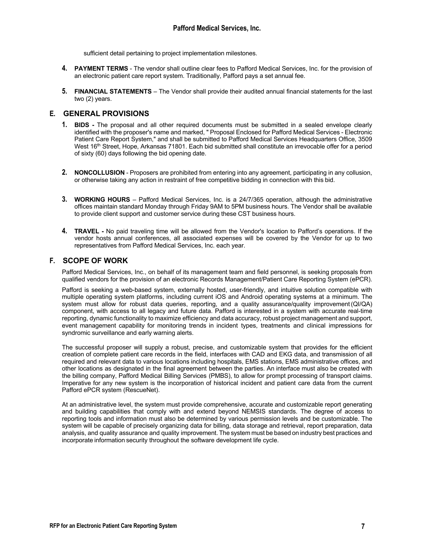sufficient detail pertaining to project implementation milestones.

- **4. PAYMENT TERMS**  The vendor shall outline clear fees to Pafford Medical Services, Inc. for the provision of an electronic patient care report system. Traditionally, Pafford pays a set annual fee.
- **5. FINANCIAL STATEMENTS** The Vendor shall provide their audited annual financial statements for the last two (2) years.

# **E. GENERAL PROVISIONS**

- **1. BIDS -** The proposal and all other required documents must be submitted in a sealed envelope clearly identified with the proposer's name and marked, " Proposal Enclosed for Pafford Medical Services - Electronic Patient Care Report System," and shall be submitted to Pafford Medical Services Headquarters Office, 3509 West 16<sup>th</sup> Street, Hope, Arkansas 71801. Each bid submitted shall constitute an irrevocable offer for a period of sixty (60) days following the bid opening date.
- **2. NONCOLLUSION**  Proposers are prohibited from entering into any agreement, participating in any collusion, or otherwise taking any action in restraint of free competitive bidding in connection with this bid.
- **3. WORKING HOURS**  Pafford Medical Services, Inc. is a 24/7/365 operation, although the administrative offices maintain standard Monday through Friday 9AM to 5PM business hours. The Vendor shall be available to provide client support and customer service during these CST business hours.
- **4. TRAVEL -** No paid traveling time will be allowed from the Vendor's location to Pafford's operations. If the vendor hosts annual conferences, all associated expenses will be covered by the Vendor for up to two representatives from Pafford Medical Services, Inc. each year.

## **F. SCOPE OF WORK**

Pafford Medical Services, Inc., on behalf of its management team and field personnel, is seeking proposals from qualified vendors for the provision of an electronic Records Management/Patient Care Reporting System (ePCR).

Pafford is seeking a web-based system, externally hosted, user-friendly, and intuitive solution compatible with multiple operating system platforms, including current iOS and Android operating systems at a minimum. The system must allow for robust data queries, reporting, and a quality assurance/quality improvement(QI/QA) component, with access to all legacy and future data. Pafford is interested in a system with accurate real-time reporting, dynamic functionality to maximize efficiency and data accuracy, robust project management and support, event management capability for monitoring trends in incident types, treatments and clinical impressions for syndromic surveillance and early warning alerts.

The successful proposer will supply a robust, precise, and customizable system that provides for the efficient creation of complete patient care records in the field, interfaces with CAD and EKG data, and transmission of all required and relevant data to various locations including hospitals, EMS stations, EMS administrative offices, and other locations as designated in the final agreement between the parties. An interface must also be created with the billing company, Pafford Medical Billing Services (PMBS), to allow for prompt processing of transport claims. Imperative for any new system is the incorporation of historical incident and patient care data from the current Pafford ePCR system (RescueNet).

At an administrative level, the system must provide comprehensive, accurate and customizable report generating and building capabilities that comply with and extend beyond NEMSIS standards. The degree of access to reporting tools and information must also be determined by various permission levels and be customizable. The system will be capable of precisely organizing data for billing, data storage and retrieval, report preparation, data analysis, and quality assurance and quality improvement. The system must be based on industry best practices and incorporate information security throughout the software development life cycle.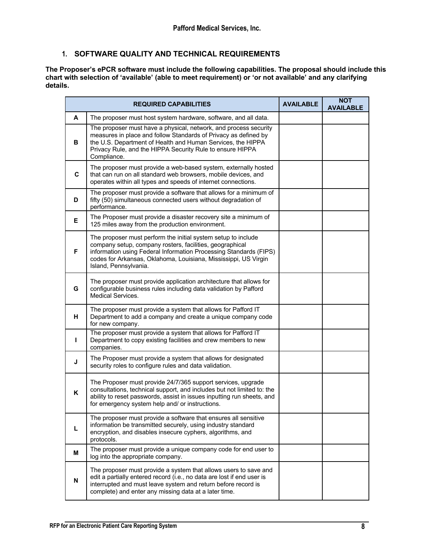# **1. SOFTWARE QUALITY AND TECHNICAL REQUIREMENTS**

**The Proposer's ePCR software must include the following capabilities. The proposal should include this chart with selection of 'available' (able to meet requirement) or 'or not available' and any clarifying details.**

|    | <b>REQUIRED CAPABILITIES</b>                                                                                                                                                                                                                                                               |  | <b>NOT</b><br><b>AVAILABLE</b> |
|----|--------------------------------------------------------------------------------------------------------------------------------------------------------------------------------------------------------------------------------------------------------------------------------------------|--|--------------------------------|
| A  | The proposer must host system hardware, software, and all data.                                                                                                                                                                                                                            |  |                                |
| в  | The proposer must have a physical, network, and process security<br>measures in place and follow Standards of Privacy as defined by<br>the U.S. Department of Health and Human Services, the HIPPA<br>Privacy Rule, and the HIPPA Security Rule to ensure HIPPA<br>Compliance.             |  |                                |
| C  | The proposer must provide a web-based system, externally hosted<br>that can run on all standard web browsers, mobile devices, and<br>operates within all types and speeds of internet connections.                                                                                         |  |                                |
| D  | The proposer must provide a software that allows for a minimum of<br>fifty (50) simultaneous connected users without degradation of<br>performance.                                                                                                                                        |  |                                |
| E. | The Proposer must provide a disaster recovery site a minimum of<br>125 miles away from the production environment.                                                                                                                                                                         |  |                                |
| F  | The proposer must perform the initial system setup to include<br>company setup, company rosters, facilities, geographical<br>information using Federal Information Processing Standards (FIPS)<br>codes for Arkansas, Oklahoma, Louisiana, Mississippi, US Virgin<br>Island, Pennsylvania. |  |                                |
| G  | The proposer must provide application architecture that allows for<br>configurable business rules including data validation by Pafford<br>Medical Services.                                                                                                                                |  |                                |
| н. | The proposer must provide a system that allows for Pafford IT<br>Department to add a company and create a unique company code<br>for new company.                                                                                                                                          |  |                                |
| L  | The proposer must provide a system that allows for Pafford IT<br>Department to copy existing facilities and crew members to new<br>companies.                                                                                                                                              |  |                                |
| J  | The Proposer must provide a system that allows for designated<br>security roles to configure rules and data validation.                                                                                                                                                                    |  |                                |
| K  | The Proposer must provide 24/7/365 support services, upgrade<br>consultations, technical support, and includes but not limited to: the<br>ability to reset passwords, assist in issues inputting run sheets, and<br>for emergency system help and/ or instructions.                        |  |                                |
| L  | The proposer must provide a software that ensures all sensitive<br>information be transmitted securely, using industry standard<br>encryption, and disables insecure cyphers, algorithms, and<br>protocols.                                                                                |  |                                |
| м  | The proposer must provide a unique company code for end user to<br>log into the appropriate company.                                                                                                                                                                                       |  |                                |
| N  | The proposer must provide a system that allows users to save and<br>edit a partially entered record (i.e., no data are lost if end user is<br>interrupted and must leave system and return before record is<br>complete) and enter any missing data at a later time.                       |  |                                |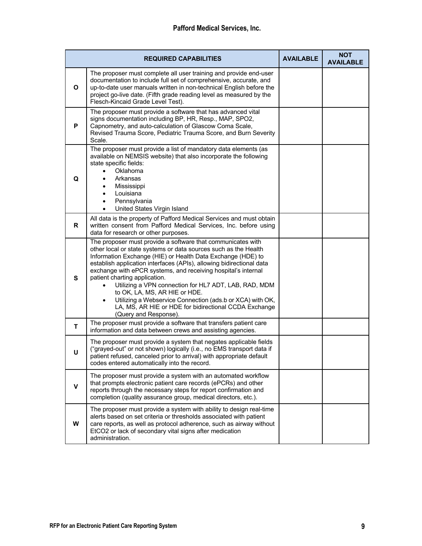|              | <b>REQUIRED CAPABILITIES</b>                                                                                                                                                                                                                                                                                                                                                                                                                                                                                                                                                                                     | <b>AVAILABLE</b> | <b>NOT</b><br><b>AVAILABLE</b> |
|--------------|------------------------------------------------------------------------------------------------------------------------------------------------------------------------------------------------------------------------------------------------------------------------------------------------------------------------------------------------------------------------------------------------------------------------------------------------------------------------------------------------------------------------------------------------------------------------------------------------------------------|------------------|--------------------------------|
| O            | The proposer must complete all user training and provide end-user<br>documentation to include full set of comprehensive, accurate, and<br>up-to-date user manuals written in non-technical English before the<br>project go-live date. (Fifth grade reading level as measured by the<br>Flesch-Kincaid Grade Level Test).                                                                                                                                                                                                                                                                                        |                  |                                |
| P            | The proposer must provide a software that has advanced vital<br>signs documentation including BP, HR, Resp., MAP, SPO2,<br>Capnometry, and auto-calculation of Glascow Coma Scale,<br>Revised Trauma Score, Pediatric Trauma Score, and Burn Severity<br>Scale.                                                                                                                                                                                                                                                                                                                                                  |                  |                                |
| Q            | The proposer must provide a list of mandatory data elements (as<br>available on NEMSIS website) that also incorporate the following<br>state specific fields:<br>Oklahoma<br>$\bullet$<br>Arkansas<br>Mississippi<br>Louisiana<br>Pennsylvania<br>United States Virgin Island<br>$\bullet$                                                                                                                                                                                                                                                                                                                       |                  |                                |
| R.           | All data is the property of Pafford Medical Services and must obtain<br>written consent from Pafford Medical Services, Inc. before using<br>data for research or other purposes.                                                                                                                                                                                                                                                                                                                                                                                                                                 |                  |                                |
| S            | The proposer must provide a software that communicates with<br>other local or state systems or data sources such as the Health<br>Information Exchange (HIE) or Health Data Exchange (HDE) to<br>establish application interfaces (APIs), allowing bidirectional data<br>exchange with ePCR systems, and receiving hospital's internal<br>patient charting application.<br>Utilizing a VPN connection for HL7 ADT, LAB, RAD, MDM<br>to OK, LA, MS, AR HIE or HDE.<br>Utilizing a Webservice Connection (ads.b or XCA) with OK,<br>LA, MS, AR HIE or HDE for bidirectional CCDA Exchange<br>(Query and Response). |                  |                                |
| $\mathbf{T}$ | The proposer must provide a software that transfers patient care<br>information and data between crews and assisting agencies.                                                                                                                                                                                                                                                                                                                                                                                                                                                                                   |                  |                                |
| U            | The proposer must provide a system that negates applicable fields<br>("grayed-out" or not shown) logically (i.e., no EMS transport data if<br>patient refused, canceled prior to arrival) with appropriate default<br>codes entered automatically into the record.                                                                                                                                                                                                                                                                                                                                               |                  |                                |
| v            | The proposer must provide a system with an automated workflow<br>that prompts electronic patient care records (ePCRs) and other<br>reports through the necessary steps for report confirmation and<br>completion (quality assurance group, medical directors, etc.).                                                                                                                                                                                                                                                                                                                                             |                  |                                |
| W            | The proposer must provide a system with ability to design real-time<br>alerts based on set criteria or thresholds associated with patient<br>care reports, as well as protocol adherence, such as airway without<br>EtCO2 or lack of secondary vital signs after medication<br>administration.                                                                                                                                                                                                                                                                                                                   |                  |                                |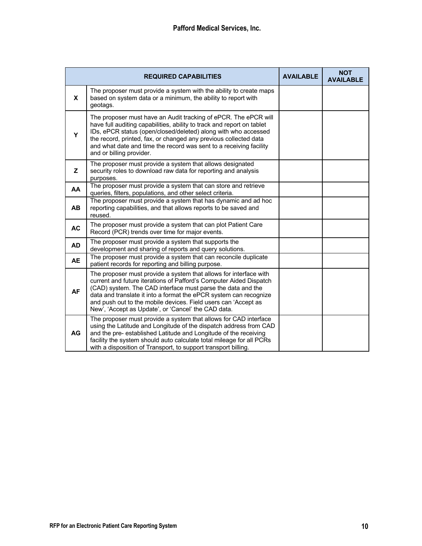|              | <b>REQUIRED CAPABILITIES</b>                                                                                                                                                                                                                                                                                                                                                                         | <b>AVAILABLE</b> | <b>NOT</b><br><b>AVAILABLE</b> |
|--------------|------------------------------------------------------------------------------------------------------------------------------------------------------------------------------------------------------------------------------------------------------------------------------------------------------------------------------------------------------------------------------------------------------|------------------|--------------------------------|
| $\mathbf{x}$ | The proposer must provide a system with the ability to create maps<br>based on system data or a minimum, the ability to report with<br>geotags.                                                                                                                                                                                                                                                      |                  |                                |
| Y            | The proposer must have an Audit tracking of ePCR. The ePCR will<br>have full auditing capabilities, ability to track and report on tablet<br>IDs, ePCR status (open/closed/deleted) along with who accessed<br>the record, printed, fax, or changed any previous collected data<br>and what date and time the record was sent to a receiving facility<br>and or billing provider.                    |                  |                                |
| z            | The proposer must provide a system that allows designated<br>security roles to download raw data for reporting and analysis<br>purposes.                                                                                                                                                                                                                                                             |                  |                                |
| AA           | The proposer must provide a system that can store and retrieve<br>queries, filters, populations, and other select criteria.                                                                                                                                                                                                                                                                          |                  |                                |
| <b>AB</b>    | The proposer must provide a system that has dynamic and ad hoc<br>reporting capabilities, and that allows reports to be saved and<br>reused.                                                                                                                                                                                                                                                         |                  |                                |
| <b>AC</b>    | The proposer must provide a system that can plot Patient Care<br>Record (PCR) trends over time for major events.                                                                                                                                                                                                                                                                                     |                  |                                |
| <b>AD</b>    | The proposer must provide a system that supports the<br>development and sharing of reports and query solutions.                                                                                                                                                                                                                                                                                      |                  |                                |
| <b>AE</b>    | The proposer must provide a system that can reconcile duplicate<br>patient records for reporting and billing purpose.                                                                                                                                                                                                                                                                                |                  |                                |
| <b>AF</b>    | The proposer must provide a system that allows for interface with<br>current and future iterations of Pafford's Computer Aided Dispatch<br>(CAD) system. The CAD interface must parse the data and the<br>data and translate it into a format the ePCR system can recognize<br>and push out to the mobile devices. Field users can 'Accept as<br>New', 'Accept as Update', or 'Cancel' the CAD data. |                  |                                |
| <b>AG</b>    | The proposer must provide a system that allows for CAD interface<br>using the Latitude and Longitude of the dispatch address from CAD<br>and the pre- established Latitude and Longitude of the receiving<br>facility the system should auto calculate total mileage for all PCRs<br>with a disposition of Transport, to support transport billing.                                                  |                  |                                |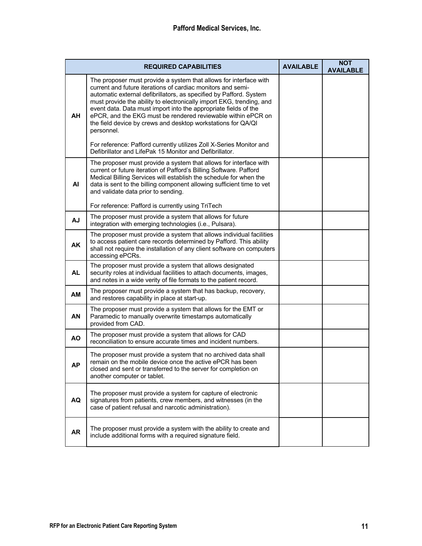| <b>REQUIRED CAPABILITIES</b> |                                                                                                                                                                                                                                                                                                                                                                                                                                                                                                 | <b>AVAILABLE</b> | <b>NOT</b><br><b>AVAILABLE</b> |
|------------------------------|-------------------------------------------------------------------------------------------------------------------------------------------------------------------------------------------------------------------------------------------------------------------------------------------------------------------------------------------------------------------------------------------------------------------------------------------------------------------------------------------------|------------------|--------------------------------|
| AH                           | The proposer must provide a system that allows for interface with<br>current and future iterations of cardiac monitors and semi-<br>automatic external defibrillators, as specified by Pafford. System<br>must provide the ability to electronically import EKG, trending, and<br>event data. Data must import into the appropriate fields of the<br>ePCR, and the EKG must be rendered reviewable within ePCR on<br>the field device by crews and desktop workstations for QA/QI<br>personnel. |                  |                                |
|                              | For reference: Pafford currently utilizes Zoll X-Series Monitor and<br>Defibrillator and LifePak 15 Monitor and Defibrillator.                                                                                                                                                                                                                                                                                                                                                                  |                  |                                |
| <b>AI</b>                    | The proposer must provide a system that allows for interface with<br>current or future iteration of Pafford's Billing Software. Pafford<br>Medical Billing Services will establish the schedule for when the<br>data is sent to the billing component allowing sufficient time to vet<br>and validate data prior to sending.<br>For reference: Pafford is currently using TriTech                                                                                                               |                  |                                |
| AJ                           | The proposer must provide a system that allows for future<br>integration with emerging technologies (i.e., Pulsara).                                                                                                                                                                                                                                                                                                                                                                            |                  |                                |
| <b>AK</b>                    | The proposer must provide a system that allows individual facilities<br>to access patient care records determined by Pafford. This ability<br>shall not require the installation of any client software on computers<br>accessing ePCRs.                                                                                                                                                                                                                                                        |                  |                                |
| <b>AL</b>                    | The proposer must provide a system that allows designated<br>security roles at individual facilities to attach documents, images,<br>and notes in a wide verity of file formats to the patient record.                                                                                                                                                                                                                                                                                          |                  |                                |
| AM                           | The proposer must provide a system that has backup, recovery,<br>and restores capability in place at start-up.                                                                                                                                                                                                                                                                                                                                                                                  |                  |                                |
| <b>AN</b>                    | The proposer must provide a system that allows for the EMT or<br>Paramedic to manually overwrite timestamps automatically<br>provided from CAD.                                                                                                                                                                                                                                                                                                                                                 |                  |                                |
| <b>AO</b>                    | The proposer must provide a system that allows for CAD<br>reconciliation to ensure accurate times and incident numbers.                                                                                                                                                                                                                                                                                                                                                                         |                  |                                |
| АP                           | The proposer must provide a system that no archived data shall<br>remain on the mobile device once the active ePCR has been<br>closed and sent or transferred to the server for completion on<br>another computer or tablet.                                                                                                                                                                                                                                                                    |                  |                                |
| AQ                           | The proposer must provide a system for capture of electronic<br>signatures from patients, crew members, and witnesses (in the<br>case of patient refusal and narcotic administration).                                                                                                                                                                                                                                                                                                          |                  |                                |
| <b>AR</b>                    | The proposer must provide a system with the ability to create and<br>include additional forms with a required signature field.                                                                                                                                                                                                                                                                                                                                                                  |                  |                                |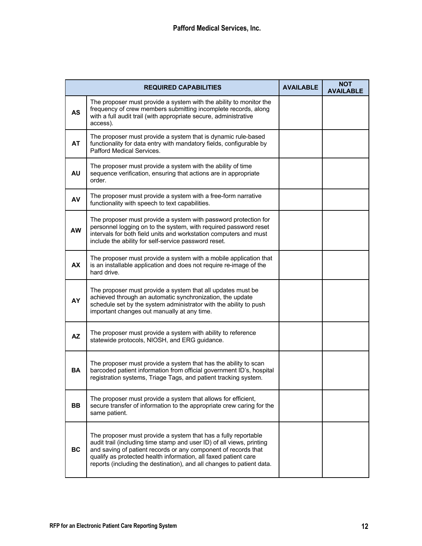|           | <b>REQUIRED CAPABILITIES</b>                                                                                                                                                                                                                                                                                                                          | <b>AVAILABLE</b> | <b>NOT</b><br><b>AVAILABLE</b> |
|-----------|-------------------------------------------------------------------------------------------------------------------------------------------------------------------------------------------------------------------------------------------------------------------------------------------------------------------------------------------------------|------------------|--------------------------------|
| <b>AS</b> | The proposer must provide a system with the ability to monitor the<br>frequency of crew members submitting incomplete records, along<br>with a full audit trail (with appropriate secure, administrative<br>access).                                                                                                                                  |                  |                                |
| <b>AT</b> | The proposer must provide a system that is dynamic rule-based<br>functionality for data entry with mandatory fields, configurable by<br>Pafford Medical Services.                                                                                                                                                                                     |                  |                                |
| <b>AU</b> | The proposer must provide a system with the ability of time<br>sequence verification, ensuring that actions are in appropriate<br>order.                                                                                                                                                                                                              |                  |                                |
| AV        | The proposer must provide a system with a free-form narrative<br>functionality with speech to text capabilities.                                                                                                                                                                                                                                      |                  |                                |
| <b>AW</b> | The proposer must provide a system with password protection for<br>personnel logging on to the system, with required password reset<br>intervals for both field units and workstation computers and must<br>include the ability for self-service password reset.                                                                                      |                  |                                |
| <b>AX</b> | The proposer must provide a system with a mobile application that<br>is an installable application and does not require re-image of the<br>hard drive.                                                                                                                                                                                                |                  |                                |
| AY        | The proposer must provide a system that all updates must be<br>achieved through an automatic synchronization, the update<br>schedule set by the system administrator with the ability to push<br>important changes out manually at any time.                                                                                                          |                  |                                |
| <b>AZ</b> | The proposer must provide a system with ability to reference<br>statewide protocols, NIOSH, and ERG guidance.                                                                                                                                                                                                                                         |                  |                                |
| <b>BA</b> | The proposer must provide a system that has the ability to scan<br>barcoded patient information from official government ID's, hospital<br>registration systems, Triage Tags, and patient tracking system.                                                                                                                                            |                  |                                |
| <b>BB</b> | The proposer must provide a system that allows for efficient,<br>secure transfer of information to the appropriate crew caring for the<br>same patient.                                                                                                                                                                                               |                  |                                |
| <b>BC</b> | The proposer must provide a system that has a fully reportable<br>audit trail (including time stamp and user ID) of all views, printing<br>and saving of patient records or any component of records that<br>qualify as protected health information, all faxed patient care<br>reports (including the destination), and all changes to patient data. |                  |                                |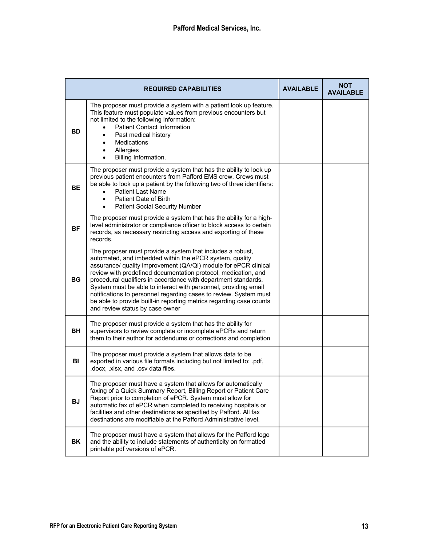|           | <b>REQUIRED CAPABILITIES</b>                                                                                                                                                                                                                                                                                                                                                                                                                                                                                                                                                   | <b>AVAILABLE</b> | <b>NOT</b><br><b>AVAILABLE</b> |
|-----------|--------------------------------------------------------------------------------------------------------------------------------------------------------------------------------------------------------------------------------------------------------------------------------------------------------------------------------------------------------------------------------------------------------------------------------------------------------------------------------------------------------------------------------------------------------------------------------|------------------|--------------------------------|
| <b>BD</b> | The proposer must provide a system with a patient look up feature.<br>This feature must populate values from previous encounters but<br>not limited to the following information:<br><b>Patient Contact Information</b><br>Past medical history<br><b>Medications</b><br>Allergies<br>Billing Information.                                                                                                                                                                                                                                                                     |                  |                                |
| <b>BE</b> | The proposer must provide a system that has the ability to look up<br>previous patient encounters from Pafford EMS crew. Crews must<br>be able to look up a patient by the following two of three identifiers:<br><b>Patient Last Name</b><br>$\bullet$<br>Patient Date of Birth<br>$\bullet$<br><b>Patient Social Security Number</b>                                                                                                                                                                                                                                         |                  |                                |
| <b>BF</b> | The proposer must provide a system that has the ability for a high-<br>level administrator or compliance officer to block access to certain<br>records, as necessary restricting access and exporting of these<br>records.                                                                                                                                                                                                                                                                                                                                                     |                  |                                |
| <b>BG</b> | The proposer must provide a system that includes a robust,<br>automated, and imbedded within the ePCR system, quality<br>assurance/ quality improvement (QA/QI) module for ePCR clinical<br>review with predefined documentation protocol, medication, and<br>procedural qualifiers in accordance with department standards.<br>System must be able to interact with personnel, providing email<br>notifications to personnel regarding cases to review. System must<br>be able to provide built-in reporting metrics regarding case counts<br>and review status by case owner |                  |                                |
| BH.       | The proposer must provide a system that has the ability for<br>supervisors to review complete or incomplete ePCRs and return<br>them to their author for addendums or corrections and completion                                                                                                                                                                                                                                                                                                                                                                               |                  |                                |
| BI        | The proposer must provide a system that allows data to be<br>exported in various file formats including but not limited to: .pdf,<br>.docx, .xlsx, and .csv data files.                                                                                                                                                                                                                                                                                                                                                                                                        |                  |                                |
| <b>BJ</b> | The proposer must have a system that allows for automatically<br>faxing of a Quick Summary Report, Billing Report or Patient Care<br>Report prior to completion of ePCR. System must allow for<br>automatic fax of ePCR when completed to receiving hospitals or<br>facilities and other destinations as specified by Pafford. All fax<br>destinations are modifiable at the Pafford Administrative level.                                                                                                                                                                     |                  |                                |
| BK        | The proposer must have a system that allows for the Pafford logo<br>and the ability to include statements of authenticity on formatted<br>printable pdf versions of ePCR.                                                                                                                                                                                                                                                                                                                                                                                                      |                  |                                |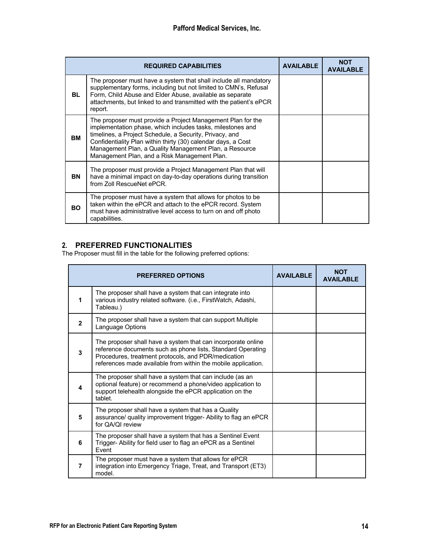|     | <b>REQUIRED CAPABILITIES</b>                                                                                                                                                                                                                                                                                                                                    | <b>AVAILABLE</b> | <b>NOT</b><br><b>AVAILABLE</b> |
|-----|-----------------------------------------------------------------------------------------------------------------------------------------------------------------------------------------------------------------------------------------------------------------------------------------------------------------------------------------------------------------|------------------|--------------------------------|
| BL. | The proposer must have a system that shall include all mandatory<br>supplementary forms, including but not limited to CMN's, Refusal<br>Form, Child Abuse and Elder Abuse, available as separate<br>attachments, but linked to and transmitted with the patient's ePCR<br>report.                                                                               |                  |                                |
| BM  | The proposer must provide a Project Management Plan for the<br>implementation phase, which includes tasks, milestones and<br>timelines, a Project Schedule, a Security, Privacy, and<br>Confidentiality Plan within thirty (30) calendar days, a Cost<br>Management Plan, a Quality Management Plan, a Resource<br>Management Plan, and a Risk Management Plan. |                  |                                |
| BN  | The proposer must provide a Project Management Plan that will<br>have a minimal impact on day-to-day operations during transition<br>from Zoll RescueNet ePCR.                                                                                                                                                                                                  |                  |                                |
| BO. | The proposer must have a system that allows for photos to be<br>taken within the ePCR and attach to the ePCR record. System<br>must have administrative level access to turn on and off photo<br>capabilities.                                                                                                                                                  |                  |                                |

# **2. PREFERRED FUNCTIONALITIES**

The Proposer must fill in the table for the following preferred options:

|                | <b>PREFERRED OPTIONS</b>                                                                                                                                                                                                                            |  | <b>NOT</b><br><b>AVAILABLE</b> |
|----------------|-----------------------------------------------------------------------------------------------------------------------------------------------------------------------------------------------------------------------------------------------------|--|--------------------------------|
| 1              | The proposer shall have a system that can integrate into<br>various industry related software. (i.e., FirstWatch, Adashi,<br>Tableau.)                                                                                                              |  |                                |
| $\mathbf{2}$   | The proposer shall have a system that can support Multiple<br>Language Options                                                                                                                                                                      |  |                                |
| 3              | The proposer shall have a system that can incorporate online<br>reference documents such as phone lists, Standard Operating<br>Procedures, treatment protocols, and PDR/medication<br>references made available from within the mobile application. |  |                                |
| 4              | The proposer shall have a system that can include (as an<br>optional feature) or recommend a phone/video application to<br>support telehealth alongside the ePCR application on the<br>tablet.                                                      |  |                                |
| 5              | The proposer shall have a system that has a Quality<br>assurance/ quality improvement trigger- Ability to flag an ePCR<br>for QA/QI review                                                                                                          |  |                                |
| 6              | The proposer shall have a system that has a Sentinel Event<br>Trigger- Ability for field user to flag an ePCR as a Sentinel<br>Event                                                                                                                |  |                                |
| $\overline{7}$ | The proposer must have a system that allows for ePCR<br>integration into Emergency Triage, Treat, and Transport (ET3)<br>model.                                                                                                                     |  |                                |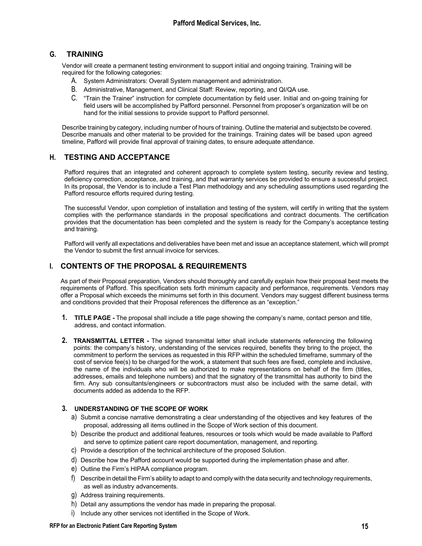# **G. TRAINING**

Vendor will create a permanent testing environment to support initial and ongoing training. Training will be required for the following categories:

- A. System Administrators: Overall System management and administration.
- B. Administrative, Management, and Clinical Staff: Review, reporting, and QI/QA use.
- C. "Train the Trainer" instruction for complete documentation by field user. Initial and on-going training for field users will be accomplished by Pafford personnel. Personnel from proposer's organization will be on hand for the initial sessions to provide support to Pafford personnel.

Describe training by category, including number of hours of training. Outline the material and subjectsto be covered. Describe manuals and other material to be provided for the trainings. Training dates will be based upon agreed timeline, Pafford will provide final approval of training dates, to ensure adequate attendance.

# **H. TESTING AND ACCEPTANCE**

Pafford requires that an integrated and coherent approach to complete system testing, security review and testing, deficiency correction, acceptance, and training, and that warranty services be provided to ensure a successful project. In its proposal, the Vendor is to include a Test Plan methodology and any scheduling assumptions used regarding the Pafford resource efforts required during testing.

The successful Vendor, upon completion of installation and testing of the system, will certify in writing that the system complies with the performance standards in the proposal specifications and contract documents. The certification provides that the documentation has been completed and the system is ready for the Company's acceptance testing and training.

Pafford will verify all expectations and deliverables have been met and issue an acceptance statement, which will prompt the Vendor to submit the first annual invoice for services.

# **I. CONTENTS OF THE PROPOSAL & REQUIREMENTS**

As part of their Proposal preparation, Vendors should thoroughly and carefully explain how their proposal best meets the requirements of Pafford. This specification sets forth minimum capacity and performance, requirements. Vendors may offer a Proposal which exceeds the minimums set forth in this document. Vendors may suggest different business terms and conditions provided that their Proposal references the difference as an "exception."

- **1. TITLE PAGE -** The proposal shall include a title page showing the company's name, contact person and title, address, and contact information.
- **2. TRANSMITTAL LETTER -** The signed transmittal letter shall include statements referencing the following points: the company's history, understanding of the services required, benefits they bring to the project, the commitment to perform the services as requested in this RFP within the scheduled timeframe, summary of the cost of service fee(s) to be charged for the work, a statement that such fees are fixed, complete and inclusive, the name of the individuals who will be authorized to make representations on behalf of the firm (titles, addresses, emails and telephone numbers) and that the signatory of the transmittal has authority to bind the firm. Any sub consultants/engineers or subcontractors must also be included with the same detail, with documents added as addenda to the RFP.

## **3. UNDERSTANDING OF THE SCOPE OF WORK**

- a) Submit a concise narrative demonstrating a clear understanding of the objectives and key features of the proposal, addressing all items outlined in the Scope of Work section of this document.
- b) Describe the product and additional features, resources or tools which would be made available to Pafford and serve to optimize patient care report documentation, management, and reporting.
- c) Provide a description of the technical architecture of the proposed Solution.
- d) Describe how the Pafford account would be supported during the implementation phase and after.
- e) Outline the Firm's HIPAA compliance program.
- f) Describe in detail the Firm's ability to adapt to and comply with the data security and technology requirements, as well as industry advancements.
- g) Address training requirements.
- h) Detail any assumptions the vendor has made in preparing the proposal.
- i) Include any other services not identified in the Scope of Work.

#### **RFP for an Electronic Patient Care Reporting System 15**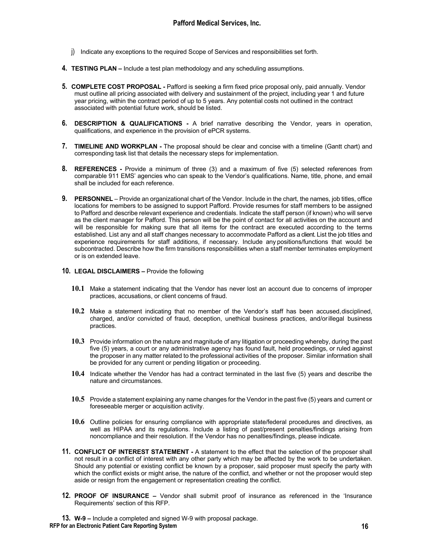- j) Indicate any exceptions to the required Scope of Services and responsibilities set forth.
- **4. TESTING PLAN –** Include a test plan methodology and any scheduling assumptions.
- **5. COMPLETE COST PROPOSAL -** Pafford is seeking a firm fixed price proposal only, paid annually. Vendor must outline all pricing associated with delivery and sustainment of the project, including year 1 and future year pricing, within the contract period of up to 5 years. Any potential costs not outlined in the contract associated with potential future work, should be listed.
- **6. DESCRIPTION & QUALIFICATIONS -** A brief narrative describing the Vendor, years in operation, qualifications, and experience in the provision of ePCR systems.
- **7. TIMELINE AND WORKPLAN -** The proposal should be clear and concise with a timeline (Gantt chart) and corresponding task list that details the necessary steps for implementation.
- **8. REFERENCES -** Provide a minimum of three (3) and a maximum of five (5) selected references from comparable 911 EMS' agencies who can speak to the Vendor's qualifications. Name, title, phone, and email shall be included for each reference.
- **9. PERSONNEL**  Provide an organizational chart of the Vendor. Include in the chart, the names, job titles, office locations for members to be assigned to support Pafford. Provide resumes for staff members to be assigned to Pafford and describe relevant experience and credentials. Indicate the staff person (if known) who will serve as the client manager for Pafford. This person will be the point of contact for all activities on the account and will be responsible for making sure that all items for the contract are executed according to the terms established. List any and all staff changes necessary to accommodate Pafford as a client. List the job titles and experience requirements for staff additions, if necessary. Include any positions/functions that would be subcontracted. Describe how the firm transitions responsibilities when a staff member terminates employment or is on extended leave.

#### **10. LEGAL DISCLAIMERS –** Provide the following

- **10.1** Make a statement indicating that the Vendor has never lost an account due to concerns of improper practices, accusations, or client concerns of fraud.
- **10.2** Make a statement indicating that no member of the Vendor's staff has been accused,disciplined, charged, and/or convicted of fraud, deception, unethical business practices, and/orillegal business practices.
- **10.3** Provide information on the nature and magnitude of any litigation or proceeding whereby, during the past five (5) years, a court or any administrative agency has found fault, held proceedings, or ruled against the proposer in any matter related to the professional activities of the proposer. Similar information shall be provided for any current or pending litigation or proceeding.
- **10.4** Indicate whether the Vendor has had a contract terminated in the last five (5) years and describe the nature and circumstances.
- **10.5** Provide a statement explaining any name changes for the Vendor in the past five (5) years and current or foreseeable merger or acquisition activity.
- **10.6** Outline policies for ensuring compliance with appropriate state/federal procedures and directives, as well as HIPAA and its regulations. Include a listing of past/present penalties/findings arising from noncompliance and their resolution. If the Vendor has no penalties/findings, please indicate.
- **11. CONFLICT OF INTEREST STATEMENT -** A statement to the effect that the selection of the proposer shall not result in a conflict of interest with any other party which may be affected by the work to be undertaken. Should any potential or existing conflict be known by a proposer, said proposer must specify the party with which the conflict exists or might arise, the nature of the conflict, and whether or not the proposer would step aside or resign from the engagement or representation creating the conflict.
- **12. PROOF OF INSURANCE –** Vendor shall submit proof of insurance as referenced in the 'Insurance Requirements' section of this RFP.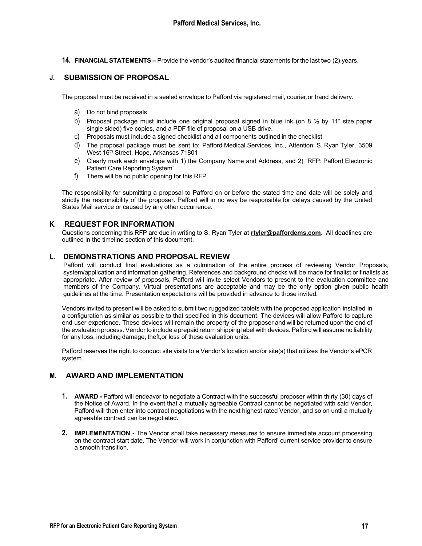**14. FINANCIAL STATEMENTS –** Provide the vendor's audited financial statements for the last two (2) years.

# **J. SUBMISSION OF PROPOSAL**

The proposal must be received in a sealed envelope to Pafford via registered mail, courier,or hand delivery.

- a) Do not bind proposals.
- b) Proposal package must include one original proposal signed in blue ink (on 8  $\frac{1}{2}$  by 11" size paper single sided) five copies, and a PDF file of proposal on a USB drive.
- c) Proposals must include a signed checklist and all components outlined in the checklist
- d) The proposal package must be sent to: Pafford Medical Services, Inc., Attention: S. Ryan Tyler, 3509 West 16<sup>th</sup> Street, Hope, Arkansas 71801
- e) Clearly mark each envelope with 1) the Company Name and Address, and 2) "RFP: Pafford Electronic Patient Care Reporting System"
- f) There will be no public opening for this RFP

The responsibility for submitting a proposal to Pafford on or before the stated time and date will be solely and strictly the responsibility of the proposer. Pafford will in no way be responsible for delays caused by the United States Mail service or caused by any other occurrence.

# **K. REQUEST FOR INFORMATION**

Questions concerning this RFP are due in writing to S. Ryan Tyler at **rtyler@paffordems.com**. All deadlines are outlined in the timeline section of this document.

## **L. DEMONSTRATIONS AND PROPOSAL REVIEW**

Pafford will conduct final evaluations as a culmination of the entire process of reviewing Vendor Proposals, system/application and information gathering. References and background checks will be made for finalist or finalists as appropriate. After review of proposals, Pafford will invite select Vendors to present to the evaluation committee and members of the Company. Virtual presentations are acceptable and may be the only option given public health guidelines at the time. Presentation expectations will be provided in advance to those invited.

Vendors invited to present will be asked to submit two ruggedized tablets with the proposed application installed in a configuration as similar as possible to that specified in this document. The devices will allow Pafford to capture end user experience. These devices will remain the property of the proposer and will be returned upon the end of the evaluation process. Vendorto include a prepaid return shipping label with devices. Pafford will assume no liability for any loss, including damage, theft,or loss of these evaluation units.

Pafford reserves the right to conduct site visits to a Vendor's location and/or site(s) that utilizes the Vendor's ePCR system.

## **M. AWARD AND IMPLEMENTATION**

- **1. AWARD -** Pafford will endeavor to negotiate a Contract with the successful proposer within thirty (30) days of the Notice of Award. In the event that a mutually agreeable Contract cannot be negotiated with said Vendor, Pafford will then enter into contract negotiations with the next highest rated Vendor, and so on until a mutually agreeable contract can be negotiated.
- **2. IMPLEMENTATION -** The Vendor shall take necessary measures to ensure immediate account processing on the contract start date. The Vendor will work in conjunction with Pafford' current service provider to ensure a smooth transition.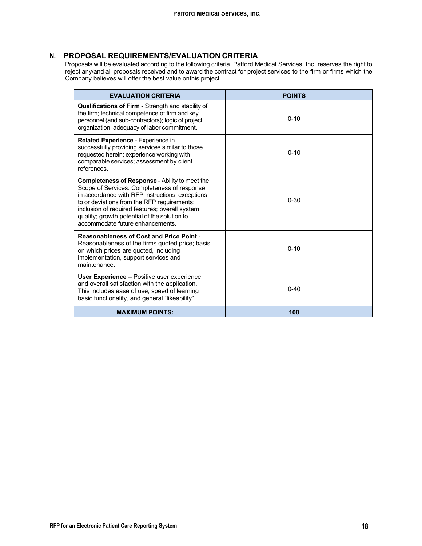# **N. PROPOSAL REQUIREMENTS/EVALUATION CRITERIA**

Proposals will be evaluated according to the following criteria. Pafford Medical Services, Inc. reserves the right to reject any/and all proposals received and to award the contract for project services to the firm or firms which the Company believes will offer the best value onthis project.

| <b>EVALUATION CRITERIA</b>                                                                                                                                                                                                                                                                                                            | <b>POINTS</b> |
|---------------------------------------------------------------------------------------------------------------------------------------------------------------------------------------------------------------------------------------------------------------------------------------------------------------------------------------|---------------|
| <b>Qualifications of Firm - Strength and stability of</b><br>the firm; technical competence of firm and key<br>personnel (and sub-contractors); logic of project<br>organization; adequacy of labor commitment.                                                                                                                       | $0 - 10$      |
| Related Experience - Experience in<br>successfully providing services similar to those<br>requested herein; experience working with<br>comparable services; assessment by client<br>references.                                                                                                                                       | $0 - 10$      |
| Completeness of Response - Ability to meet the<br>Scope of Services. Completeness of response<br>in accordance with RFP instructions; exceptions<br>to or deviations from the RFP requirements;<br>inclusion of required features; overall system<br>quality; growth potential of the solution to<br>accommodate future enhancements. | $0 - 30$      |
| <b>Reasonableness of Cost and Price Point -</b><br>Reasonableness of the firms quoted price; basis<br>on which prices are quoted, including<br>implementation, support services and<br>maintenance.                                                                                                                                   | $0 - 10$      |
| <b>User Experience - Positive user experience</b><br>and overall satisfaction with the application.<br>This includes ease of use, speed of learning<br>basic functionality, and general "likeability".                                                                                                                                | $0 - 40$      |
| <b>MAXIMUM POINTS:</b>                                                                                                                                                                                                                                                                                                                | 100           |